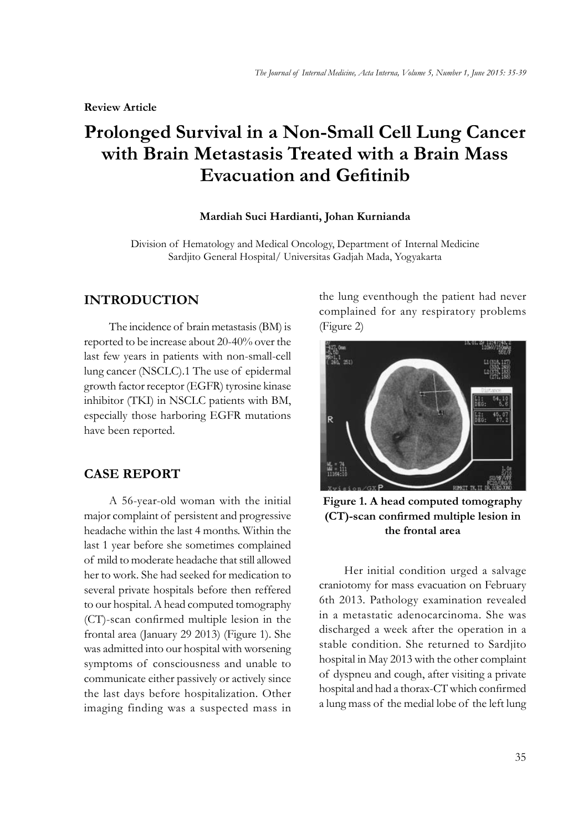# **Prolonged Survival in a Non-Small Cell Lung Cancer with Brain Metastasis Treated with a Brain Mass Evacuation and Gefitinib**

#### **Mardiah Suci Hardianti, Johan Kurnianda**

Division of Hematology and Medical Oncology, Department of Internal Medicine Sardjito General Hospital/ Universitas Gadjah Mada, Yogyakarta

### **INTRODUCTION**

The incidence of brain metastasis (BM) is reported to be increase about 20-40% over the last few years in patients with non-small-cell lung cancer (NSCLC).1 The use of epidermal growth factor receptor (EGFR) tyrosine kinase inhibitor (TKI) in NSCLC patients with BM, especially those harboring EGFR mutations have been reported.

#### **CASE REPORT**

A 56-year-old woman with the initial major complaint of persistent and progressive headache within the last 4 months. Within the last 1 year before she sometimes complained of mild to moderate headache that still allowed her to work. She had seeked for medication to several private hospitals before then reffered to our hospital. A head computed tomography  $(CT)$ -scan confirmed multiple lesion in the frontal area (January 29 2013) (Figure 1). She was admitted into our hospital with worsening symptoms of consciousness and unable to communicate either passively or actively since the last days before hospitalization. Other imaging finding was a suspected mass in the lung eventhough the patient had never complained for any respiratory problems (Figure 2)



**Figure 1. A head computed tomography (CT)-scan confirmed multiple lesion in the frontal area**

Her initial condition urged a salvage craniotomy for mass evacuation on February 6th 2013. Pathology examination revealed in a metastatic adenocarcinoma. She was discharged a week after the operation in a stable condition. She returned to Sardjito hospital in May 2013 with the other complaint of dyspneu and cough, after visiting a private hospital and had a thorax-CT which confirmed a lung mass of the medial lobe of the left lung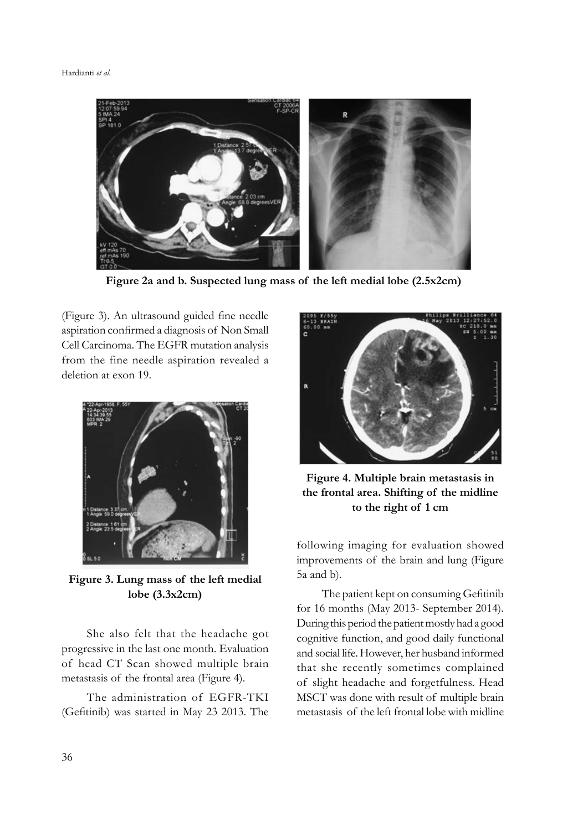

**Figure 2a and b. Suspected lung mass of the left medial lobe (2.5x2cm)**

(Figure 3). An ultrasound guided fine needle aspiration confirmed a diagnosis of Non Small Cell Carcinoma. The EGFR mutation analysis from the fine needle aspiration revealed a deletion at exon 19.



**Figure 3. Lung mass of the left medial lobe (3.3x2cm)** 

She also felt that the headache got progressive in the last one month. Evaluation of head CT Scan showed multiple brain metastasis of the frontal area (Figure 4).

The administration of EGFR-TKI (Gefitinib) was started in May 23 2013. The



**Figure 4. Multiple brain metastasis in the frontal area. Shifting of the midline to the right of 1 cm**

following imaging for evaluation showed improvements of the brain and lung (Figure 5a and b).

The patient kept on consuming Gefitinib for 16 months (May 2013- September 2014). During this period the patient mostly had a good cognitive function, and good daily functional and social life. However, her husband informed that she recently sometimes complained of slight headache and forgetfulness. Head MSCT was done with result of multiple brain metastasis of the left frontal lobe with midline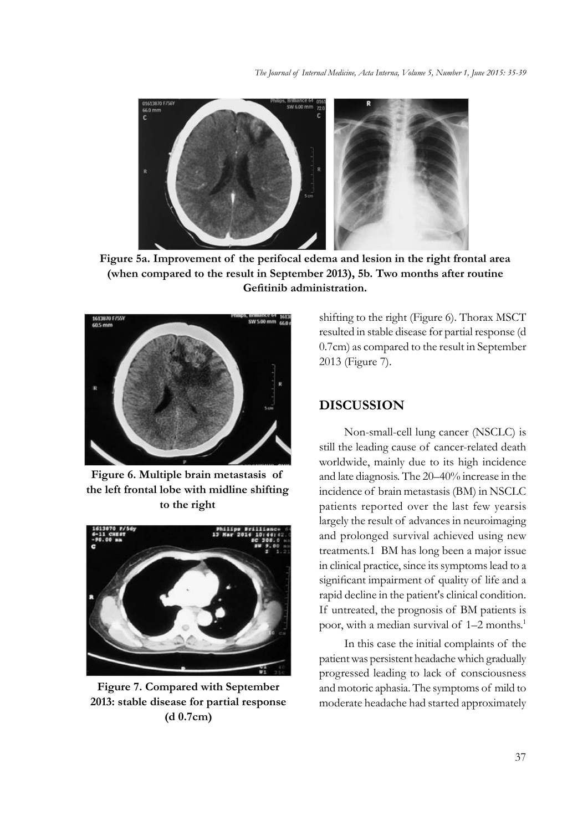

**Figure 5a. Improvement of the perifocal edema and lesion in the right frontal area (when compared to the result in September 2013), 5b. Two months after routine**  Gefitinib administration.



**Figure 6. Multiple brain metastasis of the left frontal lobe with midline shifting to the right**



**Figure 7. Compared with September 2013: stable disease for partial response (d 0.7cm)**

shifting to the right (Figure 6). Thorax MSCT resulted in stable disease for partial response (d 0.7cm) as compared to the result in September 2013 (Figure 7).

## **DISCUSSION**

Non-small-cell lung cancer (NSCLC) is still the leading cause of cancer-related death worldwide, mainly due to its high incidence and late diagnosis. The 20–40% increase in the incidence of brain metastasis (BM) in NSCLC patients reported over the last few yearsis largely the result of advances in neuroimaging and prolonged survival achieved using new treatments.1 BM has long been a major issue in clinical practice, since its symptoms lead to a significant impairment of quality of life and a rapid decline in the patient's clinical condition. If untreated, the prognosis of BM patients is poor, with a median survival of 1–2 months.<sup>1</sup>

In this case the initial complaints of the patient was persistent headache which gradually progressed leading to lack of consciousness and motoric aphasia. The symptoms of mild to moderate headache had started approximately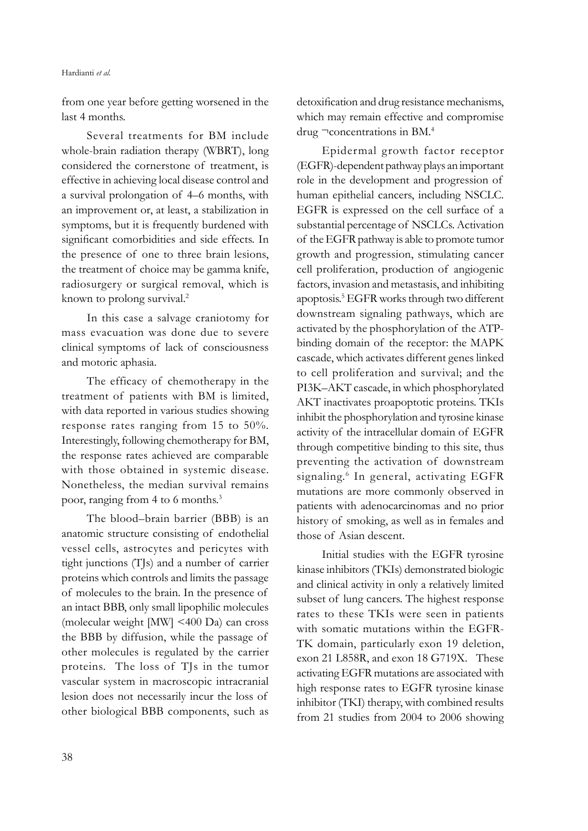from one year before getting worsened in the last 4 months.

Several treatments for BM include whole-brain radiation therapy (WBRT), long considered the cornerstone of treatment, is effective in achieving local disease control and a survival prolongation of 4–6 months, with an improvement or, at least, a stabilization in symptoms, but it is frequently burdened with significant comorbidities and side effects. In the presence of one to three brain lesions, the treatment of choice may be gamma knife, radiosurgery or surgical removal, which is known to prolong survival.2

In this case a salvage craniotomy for mass evacuation was done due to severe clinical symptoms of lack of consciousness and motoric aphasia.

The efficacy of chemotherapy in the treatment of patients with BM is limited, with data reported in various studies showing response rates ranging from 15 to 50%. Interestingly, following chemotherapy for BM, the response rates achieved are comparable with those obtained in systemic disease. Nonetheless, the median survival remains poor, ranging from 4 to 6 months.<sup>3</sup>

The blood–brain barrier (BBB) is an anatomic structure consisting of endothelial vessel cells, astrocytes and pericytes with tight junctions (TJs) and a number of carrier proteins which controls and limits the passage of molecules to the brain. In the presence of an intact BBB, only small lipophilic molecules (molecular weight [MW] <400 Da) can cross the BBB by diffusion, while the passage of other molecules is regulated by the carrier proteins. The loss of TJs in the tumor vascular system in macroscopic intracranial lesion does not necessarily incur the loss of other biological BBB components, such as detoxification and drug resistance mechanisms, which may remain effective and compromise drug ¬concentrations in BM.4

Epidermal growth factor receptor (EGFR)-dependent pathway plays an important role in the development and progression of human epithelial cancers, including NSCLC. EGFR is expressed on the cell surface of a substantial percentage of NSCLCs. Activation of the EGFR pathway is able to promote tumor growth and progression, stimulating cancer cell proliferation, production of angiogenic factors, invasion and metastasis, and inhibiting apoptosis.5 EGFR works through two different downstream signaling pathways, which are activated by the phosphorylation of the ATPbinding domain of the receptor: the MAPK cascade, which activates different genes linked to cell proliferation and survival; and the PI3K–AKT cascade, in which phosphorylated AKT inactivates proapoptotic proteins. TKIs inhibit the phosphorylation and tyrosine kinase activity of the intracellular domain of EGFR through competitive binding to this site, thus preventing the activation of downstream signaling.<sup>6</sup> In general, activating EGFR mutations are more commonly observed in patients with adenocarcinomas and no prior history of smoking, as well as in females and those of Asian descent.

Initial studies with the EGFR tyrosine kinase inhibitors (TKIs) demonstrated biologic and clinical activity in only a relatively limited subset of lung cancers. The highest response rates to these TKIs were seen in patients with somatic mutations within the EGFR-TK domain, particularly exon 19 deletion, exon 21 L858R, and exon 18 G719X. These activating EGFR mutations are associated with high response rates to EGFR tyrosine kinase inhibitor (TKI) therapy, with combined results from 21 studies from 2004 to 2006 showing